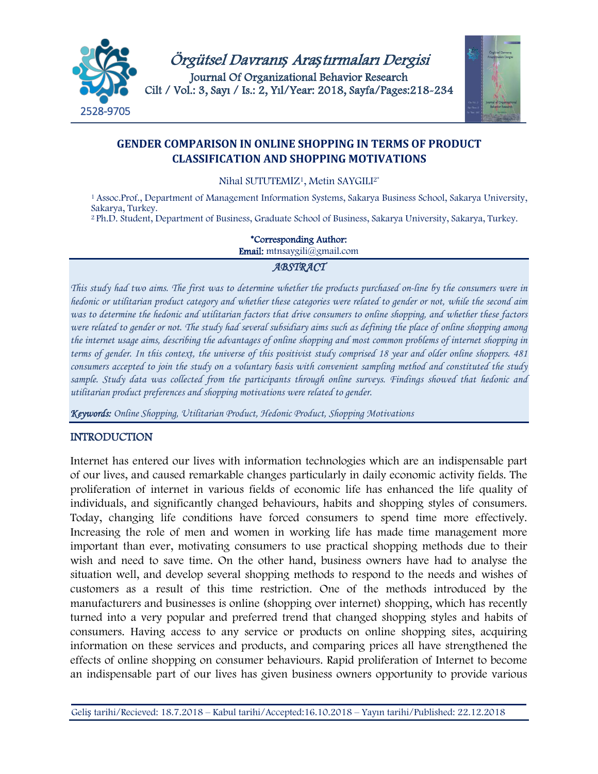



## **GENDER COMPARISON IN ONLINE SHOPPING IN TERMS OF PRODUCT CLASSIFICATION AND SHOPPING MOTIVATIONS**

Nihal SUTUTEMIZ<sup>1</sup>, Metin SAYGILI<sup>2\*</sup>

<sup>1</sup> Assoc.Prof., Department of Management Information Systems, Sakarya Business School, Sakarya University, Sakarya, Turkey.

<sup>2</sup> Ph.D. Student, Department of Business, Graduate School of Business, Sakarya University, Sakarya, Turkey.

#### \*Corresponding Author:

Email: mtnsaygili@gmail.com

#### *ABSTRACT*

*This study had two aims. The first was to determine whether the products purchased on-line by the consumers were in hedonic or utilitarian product category and whether these categories were related to gender or not, while the second aim was to determine the hedonic and utilitarian factors that drive consumers to online shopping, and whether these factors*  were related to gender or not. The study had several subsidiary aims such as defining the place of online shopping among *the internet usage aims, describing the advantages of online shopping and most common problems of internet shopping in terms of gender. In this context, the universe of this positivist study comprised 18 year and older online shoppers. 481 consumers accepted to join the study on a voluntary basis with convenient sampling method and constituted the study sample. Study data was collected from the participants through online surveys. Findings showed that hedonic and utilitarian product preferences and shopping motivations were related to gender.*

*Keywords: Online Shopping, Utilitarian Product, Hedonic Product, Shopping Motivations*

### **INTRODUCTION**

Internet has entered our lives with information technologies which are an indispensable part of our lives, and caused remarkable changes particularly in daily economic activity fields. The proliferation of internet in various fields of economic life has enhanced the life quality of individuals, and significantly changed behaviours, habits and shopping styles of consumers. Today, changing life conditions have forced consumers to spend time more effectively. Increasing the role of men and women in working life has made time management more important than ever, motivating consumers to use practical shopping methods due to their wish and need to save time. On the other hand, business owners have had to analyse the situation well, and develop several shopping methods to respond to the needs and wishes of customers as a result of this time restriction. One of the methods introduced by the manufacturers and businesses is online (shopping over internet) shopping, which has recently turned into a very popular and preferred trend that changed shopping styles and habits of consumers. Having access to any service or products on online shopping sites, acquiring information on these services and products, and comparing prices all have strengthened the effects of online shopping on consumer behaviours. Rapid proliferation of Internet to become an indispensable part of our lives has given business owners opportunity to provide various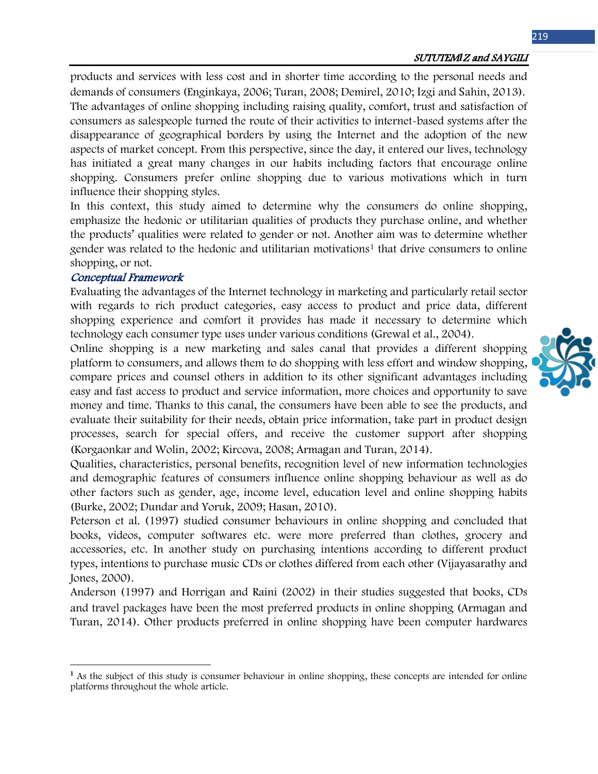#### SUTUTEM*I*Z and SAYGILI

products and services with less cost and in shorter time according to the personal needs and demands of consumers (Enginkaya, 2006; Turan, 2008; Demirel, 2010; Izgi and Sahin, 2013). The advantages of online shopping including raising quality, comfort, trust and satisfaction of consumers as salespeople turned the route of their activities to internet-based systems after the disappearance of geographical borders by using the Internet and the adoption of the new aspects of market concept. From this perspective, since the day, it entered our lives, technology has initiated a great many changes in our habits including factors that encourage online shopping. Consumers prefer online shopping due to various motivations which in turn influence their shopping styles.

In this context, this study aimed to determine why the consumers do online shopping, emphasize the hedonic or utilitarian qualities of products they purchase online, and whether the products' qualities were related to gender or not. Another aim was to determine whether gender was related to the hedonic and utilitarian motivations<sup>[1](#page-1-0)</sup> that drive consumers to online shopping, or not.

#### Conceptual Framework

 $\overline{\phantom{a}}$ 

Evaluating the advantages of the Internet technology in marketing and particularly retail sector with regards to rich product categories, easy access to product and price data, different shopping experience and comfort it provides has made it necessary to determine which technology each consumer type uses under various conditions (Grewal et al., 2004).

Online shopping is a new marketing and sales canal that provides a different shopping platform to consumers, and allows them to do shopping with less effort and window shopping, compare prices and counsel others in addition to its other significant advantages including easy and fast access to product and service information, more choices and opportunity to save money and time. Thanks to this canal, the consumers have been able to see the products, and evaluate their suitability for their needs, obtain price information, take part in product design processes, search for special offers, and receive the customer support after shopping (Korgaonkar and Wolin, 2002; Kircova, 2008; Armagan and Turan, 2014).

Qualities, characteristics, personal benefits, recognition level of new information technologies and demographic features of consumers influence online shopping behaviour as well as do other factors such as gender, age, income level, education level and online shopping habits (Burke, 2002; Dundar and Yoruk, 2009; Hasan, 2010).

Peterson et al. (1997) studied consumer behaviours in online shopping and concluded that books, videos, computer softwares etc. were more preferred than clothes, grocery and accessories, etc. In another study on purchasing intentions according to different product types, intentions to purchase music CDs or clothes differed from each other (Vijayasarathy and Jones, 2000).

Anderson (1997) and Horrigan and Raini (2002) in their studies suggested that books, CDs and travel packages have been the most preferred products in online shopping (Armagan and Turan, 2014). Other products preferred in online shopping have been computer hardwares



<span id="page-1-0"></span>**<sup>1</sup>** As the subject of this study is consumer behaviour in online shopping, these concepts are intended for online platforms throughout the whole article.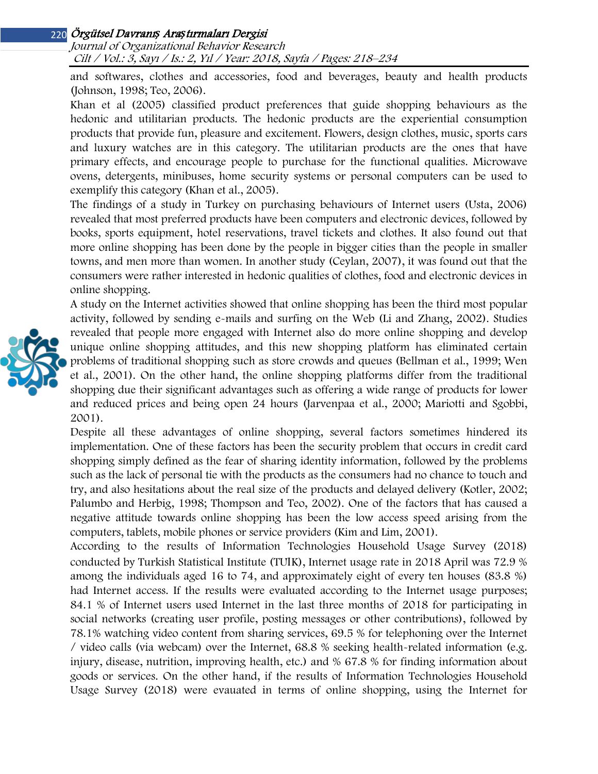Journal of Organizational Behavior Research Cilt / Vol.: 3, Sayı / Is.: 2, Yıl / Year: 2018, Sayfa / Pages: 218–234

and softwares, clothes and accessories, food and beverages, beauty and health products (Johnson, 1998; Teo, 2006).

Khan et al (2005) classified product preferences that guide shopping behaviours as the hedonic and utilitarian products. The hedonic products are the experiential consumption products that provide fun, pleasure and excitement. Flowers, design clothes, music, sports cars and luxury watches are in this category. The utilitarian products are the ones that have primary effects, and encourage people to purchase for the functional qualities. Microwave ovens, detergents, minibuses, home security systems or personal computers can be used to exemplify this category (Khan et al., 2005).

The findings of a study in Turkey on purchasing behaviours of Internet users (Usta, 2006) revealed that most preferred products have been computers and electronic devices, followed by books, sports equipment, hotel reservations, travel tickets and clothes. It also found out that more online shopping has been done by the people in bigger cities than the people in smaller towns, and men more than women. In another study (Ceylan, 2007), it was found out that the consumers were rather interested in hedonic qualities of clothes, food and electronic devices in online shopping.

A study on the Internet activities showed that online shopping has been the third most popular activity, followed by sending e-mails and surfing on the Web (Li and Zhang, 2002). Studies revealed that people more engaged with Internet also do more online shopping and develop unique online shopping attitudes, and this new shopping platform has eliminated certain problems of traditional shopping such as store crowds and queues (Bellman et al., 1999; Wen et al., 2001). On the other hand, the online shopping platforms differ from the traditional shopping due their significant advantages such as offering a wide range of products for lower and reduced prices and being open 24 hours (Jarvenpaa et al., 2000; Mariotti and Sgobbi, 2001).

Despite all these advantages of online shopping, several factors sometimes hindered its implementation. One of these factors has been the security problem that occurs in credit card shopping simply defined as the fear of sharing identity information, followed by the problems such as the lack of personal tie with the products as the consumers had no chance to touch and try, and also hesitations about the real size of the products and delayed delivery (Kotler, 2002; Palumbo and Herbig, 1998; Thompson and Teo, 2002). One of the factors that has caused a negative attitude towards online shopping has been the low access speed arising from the computers, tablets, mobile phones or service providers (Kim and Lim, 2001).

According to the results of Information Technologies Household Usage Survey (2018) conducted by Turkish Statistical Institute (TUIK), Internet usage rate in 2018 April was 72.9 % among the individuals aged 16 to 74, and approximately eight of every ten houses (83.8 %) had Internet access. If the results were evaluated according to the Internet usage purposes; 84.1 % of Internet users used Internet in the last three months of 2018 for participating in social networks (creating user profile, posting messages or other contributions), followed by 78.1% watching video content from sharing services, 69.5 % for telephoning over the Internet / video calls (via webcam) over the Internet, 68.8 % seeking health-related information (e.g. injury, disease, nutrition, improving health, etc.) and % 67.8 % for finding information about goods or services. On the other hand, if the results of Information Technologies Household Usage Survey (2018) were evauated in terms of online shopping, using the Internet for

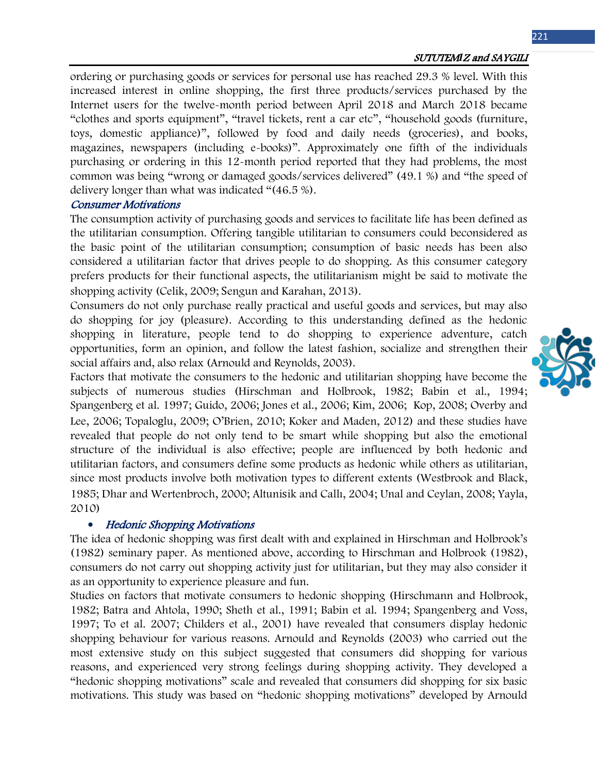ordering or purchasing goods or services for personal use has reached 29.3 % level. With this increased interest in online shopping, the first three products/services purchased by the Internet users for the twelve-month period between April 2018 and March 2018 became "clothes and sports equipment", "travel tickets, rent a car etc", "household goods (furniture, toys, domestic appliance)", followed by food and daily needs (groceries), and books, magazines, newspapers (including e-books)". Approximately one fifth of the individuals purchasing or ordering in this 12-month period reported that they had problems, the most common was being "wrong or damaged goods/services delivered" (49.1 %) and "the speed of delivery longer than what was indicated "(46.5 %).

#### Consumer Motivations

The consumption activity of purchasing goods and services to facilitate life has been defined as the utilitarian consumption. Offering tangible utilitarian to consumers could beconsidered as the basic point of the utilitarian consumption; consumption of basic needs has been also considered a utilitarian factor that drives people to do shopping. As this consumer category prefers products for their functional aspects, the utilitarianism might be said to motivate the shopping activity (Celik, 2009; Sengun and Karahan, 2013).

Consumers do not only purchase really practical and useful goods and services, but may also do shopping for joy (pleasure). According to this understanding defined as the hedonic shopping in literature, people tend to do shopping to experience adventure, catch opportunities, form an opinion, and follow the latest fashion, socialize and strengthen their social affairs and, also relax (Arnould and Reynolds, 2003).

Factors that motivate the consumers to the hedonic and utilitarian shopping have become the subjects of numerous studies (Hirschman and Holbrook, 1982; Babin et al., 1994; Spangenberg et al. 1997; Guido, 2006; Jones et al., 2006; Kim, 2006; Kop, 2008; Overby and Lee, 2006; Topaloglu, 2009; O'Brien, 2010; Koker and Maden, 2012) and these studies have revealed that people do not only tend to be smart while shopping but also the emotional structure of the individual is also effective; people are influenced by both hedonic and utilitarian factors, and consumers define some products as hedonic while others as utilitarian, since most products involve both motivation types to different extents (Westbrook and Black, 1985; Dhar and Wertenbroch, 2000; Altunisik and Callı, 2004; Unal and Ceylan, 2008; Yayla, 2010)

### • Hedonic Shopping Motivations

The idea of hedonic shopping was first dealt with and explained in Hirschman and Holbrook's (1982) seminary paper. As mentioned above, according to Hirschman and Holbrook (1982), consumers do not carry out shopping activity just for utilitarian, but they may also consider it as an opportunity to experience pleasure and fun.

Studies on factors that motivate consumers to hedonic shopping (Hirschmann and Holbrook, 1982; Batra and Ahtola, 1990; Sheth et al., 1991; Babin et al. 1994; Spangenberg and Voss, 1997; To et al. 2007; Childers et al., 2001) have revealed that consumers display hedonic shopping behaviour for various reasons. Arnould and Reynolds (2003) who carried out the most extensive study on this subject suggested that consumers did shopping for various reasons, and experienced very strong feelings during shopping activity. They developed a "hedonic shopping motivations" scale and revealed that consumers did shopping for six basic motivations. This study was based on "hedonic shopping motivations" developed by Arnould

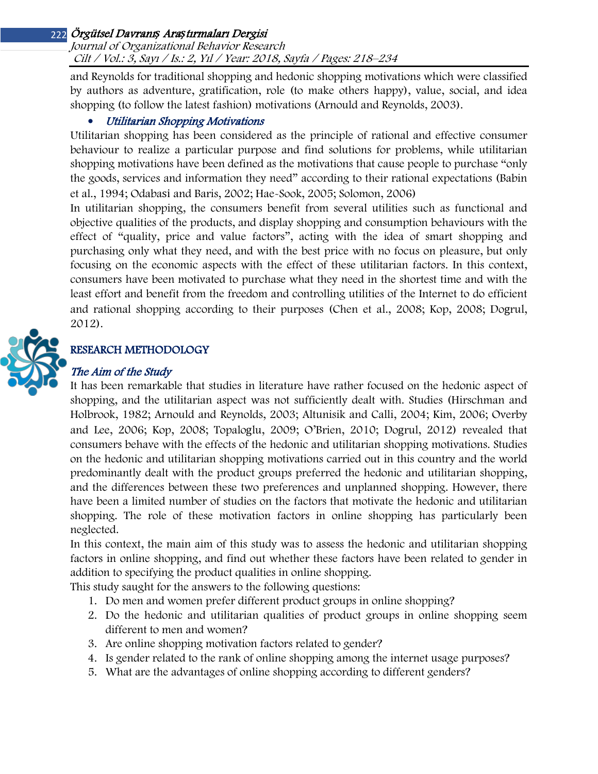#### Journal of Organizational Behavior Research Cilt / Vol.: 3, Sayı / Is.: 2, Yıl / Year: 2018, Sayfa / Pages: 218–234

and Reynolds for traditional shopping and hedonic shopping motivations which were classified by authors as adventure, gratification, role (to make others happy), value, social, and idea shopping (to follow the latest fashion) motivations (Arnould and Reynolds, 2003).

### • Utilitarian Shopping Motivations

Utilitarian shopping has been considered as the principle of rational and effective consumer behaviour to realize a particular purpose and find solutions for problems, while utilitarian shopping motivations have been defined as the motivations that cause people to purchase "only the goods, services and information they need" according to their rational expectations (Babin et al., 1994; Odabasi and Baris, 2002; Hae-Sook, 2005; Solomon, 2006)

In utilitarian shopping, the consumers benefit from several utilities such as functional and objective qualities of the products, and display shopping and consumption behaviours with the effect of "quality, price and value factors", acting with the idea of smart shopping and purchasing only what they need, and with the best price with no focus on pleasure, but only focusing on the economic aspects with the effect of these utilitarian factors. In this context, consumers have been motivated to purchase what they need in the shortest time and with the least effort and benefit from the freedom and controlling utilities of the Internet to do efficient and rational shopping according to their purposes (Chen et al., 2008; Kop, 2008; Dogrul, 2012).



# RESEARCH METHODOLOGY

## The Aim of the Study

It has been remarkable that studies in literature have rather focused on the hedonic aspect of shopping, and the utilitarian aspect was not sufficiently dealt with. Studies (Hirschman and Holbrook, 1982; Arnould and Reynolds, 2003; Altunisik and Calli, 2004; Kim, 2006; Overby and Lee, 2006; Kop, 2008; Topaloglu, 2009; O'Brien, 2010; Dogrul, 2012) revealed that consumers behave with the effects of the hedonic and utilitarian shopping motivations. Studies on the hedonic and utilitarian shopping motivations carried out in this country and the world predominantly dealt with the product groups preferred the hedonic and utilitarian shopping, and the differences between these two preferences and unplanned shopping. However, there have been a limited number of studies on the factors that motivate the hedonic and utilitarian shopping. The role of these motivation factors in online shopping has particularly been neglected.

In this context, the main aim of this study was to assess the hedonic and utilitarian shopping factors in online shopping, and find out whether these factors have been related to gender in addition to specifying the product qualities in online shopping.

This study saught for the answers to the following questions:

- 1. Do men and women prefer different product groups in online shopping?
- 2. Do the hedonic and utilitarian qualities of product groups in online shopping seem different to men and women?
- 3. Are online shopping motivation factors related to gender?
- 4. Is gender related to the rank of online shopping among the internet usage purposes?
- 5. What are the advantages of online shopping according to different genders?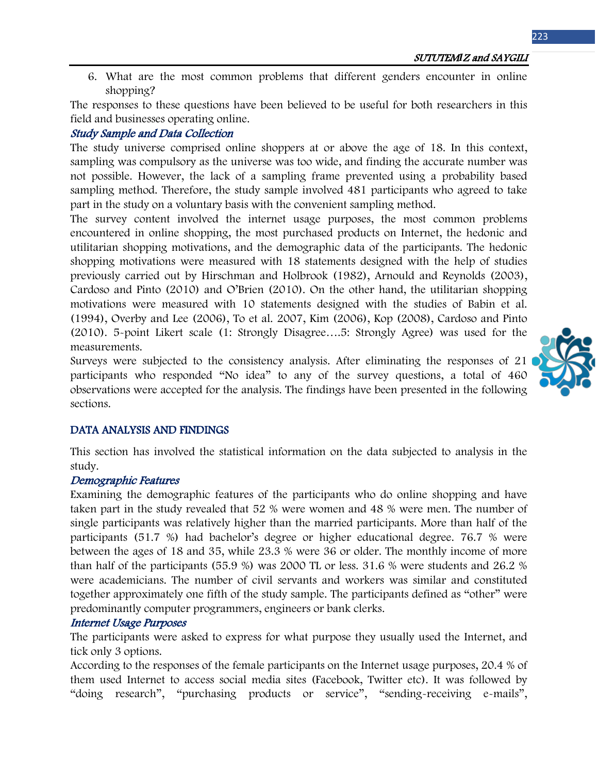6. What are the most common problems that different genders encounter in online shopping?

The responses to these questions have been believed to be useful for both researchers in this field and businesses operating online.

#### Study Sample and Data Collection

The study universe comprised online shoppers at or above the age of 18. In this context, sampling was compulsory as the universe was too wide, and finding the accurate number was not possible. However, the lack of a sampling frame prevented using a probability based sampling method. Therefore, the study sample involved 481 participants who agreed to take part in the study on a voluntary basis with the convenient sampling method.

The survey content involved the internet usage purposes, the most common problems encountered in online shopping, the most purchased products on Internet, the hedonic and utilitarian shopping motivations, and the demographic data of the participants. The hedonic shopping motivations were measured with 18 statements designed with the help of studies previously carried out by Hirschman and Holbrook (1982), Arnould and Reynolds (2003), Cardoso and Pinto (2010) and O'Brien (2010). On the other hand, the utilitarian shopping motivations were measured with 10 statements designed with the studies of Babin et al. (1994), Overby and Lee (2006), To et al. 2007, Kim (2006), Kop (2008), Cardoso and Pinto (2010). 5-point Likert scale (1: Strongly Disagree….5: Strongly Agree) was used for the measurements.

Surveys were subjected to the consistency analysis. After eliminating the responses of 21 participants who responded "No idea" to any of the survey questions, a total of 460 observations were accepted for the analysis. The findings have been presented in the following sections.

#### DATA ANALYSIS AND FINDINGS

This section has involved the statistical information on the data subjected to analysis in the study.

#### Demographic Features

Examining the demographic features of the participants who do online shopping and have taken part in the study revealed that 52 % were women and 48 % were men. The number of single participants was relatively higher than the married participants. More than half of the participants (51.7 %) had bachelor's degree or higher educational degree. 76.7 % were between the ages of 18 and 35, while 23.3 % were 36 or older. The monthly income of more than half of the participants (55.9 %) was 2000 TL or less. 31.6 % were students and 26.2 % were academicians. The number of civil servants and workers was similar and constituted together approximately one fifth of the study sample. The participants defined as "other" were predominantly computer programmers, engineers or bank clerks.

#### Internet Usage Purposes

The participants were asked to express for what purpose they usually used the Internet, and tick only 3 options.

According to the responses of the female participants on the Internet usage purposes, 20.4 % of them used Internet to access social media sites (Facebook, Twitter etc). It was followed by "doing research", "purchasing products or service", "sending-receiving e-mails",

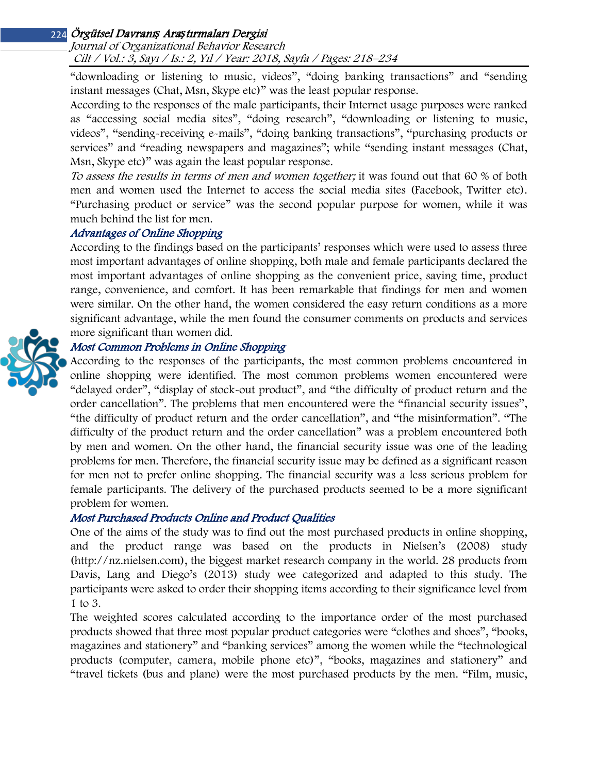Journal of Organizational Behavior Research Cilt / Vol.: 3, Sayı / Is.: 2, Yıl / Year: 2018, Sayfa / Pages: 218–234

"downloading or listening to music, videos", "doing banking transactions" and "sending instant messages (Chat, Msn, Skype etc)" was the least popular response.

According to the responses of the male participants, their Internet usage purposes were ranked as "accessing social media sites", "doing research", "downloading or listening to music, videos", "sending-receiving e-mails", "doing banking transactions", "purchasing products or services" and "reading newspapers and magazines"; while "sending instant messages (Chat, Msn, Skype etc)" was again the least popular response.

To assess the results in terms of men and women together; it was found out that 60 % of both men and women used the Internet to access the social media sites (Facebook, Twitter etc). "Purchasing product or service" was the second popular purpose for women, while it was much behind the list for men.

#### Advantages of Online Shopping

According to the findings based on the participants' responses which were used to assess three most important advantages of online shopping, both male and female participants declared the most important advantages of online shopping as the convenient price, saving time, product range, convenience, and comfort. It has been remarkable that findings for men and women were similar. On the other hand, the women considered the easy return conditions as a more significant advantage, while the men found the consumer comments on products and services more significant than women did.

### Most Common Problems in Online Shopping

According to the responses of the participants, the most common problems encountered in online shopping were identified. The most common problems women encountered were "delayed order", "display of stock-out product", and "the difficulty of product return and the order cancellation". The problems that men encountered were the "financial security issues", "the difficulty of product return and the order cancellation", and "the misinformation". "The difficulty of the product return and the order cancellation" was a problem encountered both by men and women. On the other hand, the financial security issue was one of the leading problems for men. Therefore, the financial security issue may be defined as a significant reason for men not to prefer online shopping. The financial security was a less serious problem for female participants. The delivery of the purchased products seemed to be a more significant problem for women.

### Most Purchased Products Online and Product Qualities

One of the aims of the study was to find out the most purchased products in online shopping, and the product range was based on the products in Nielsen's (2008) study [\(http://nz.nielsen.com\)](http://nz.nielsen.com/), the biggest market research company in the world. 28 products from Davis, Lang and Diego's (2013) study wee categorized and adapted to this study. The participants were asked to order their shopping items according to their significance level from 1 to 3.

The weighted scores calculated according to the importance order of the most purchased products showed that three most popular product categories were "clothes and shoes", "books, magazines and stationery" and "banking services" among the women while the "technological products (computer, camera, mobile phone etc)", "books, magazines and stationery" and "travel tickets (bus and plane) were the most purchased products by the men. "Film, music,

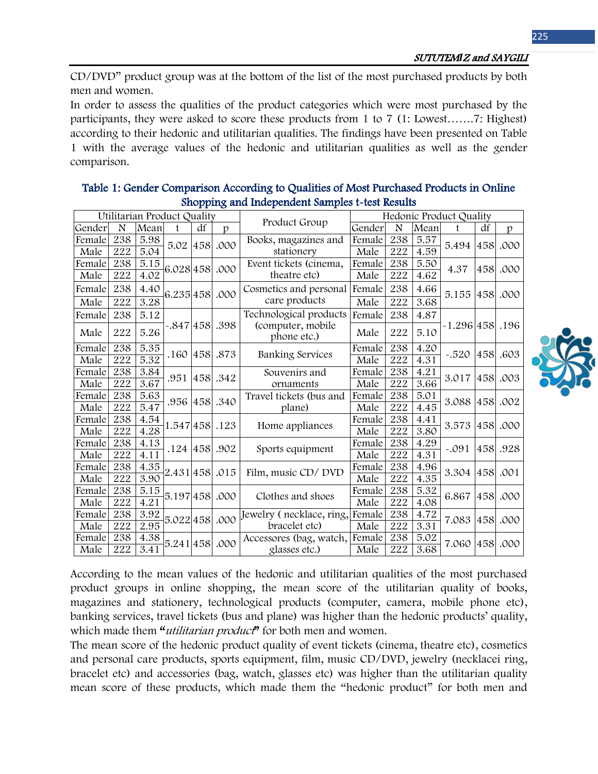CD/DVD" product group was at the bottom of the list of the most purchased products by both men and women.

In order to assess the qualities of the product categories which were most purchased by the participants, they were asked to score these products from 1 to 7 (1: Lowest…….7: Highest) according to their hedonic and utilitarian qualities. The findings have been presented on Table 1 with the average values of the hedonic and utilitarian qualities as well as the gender comparison.

|        |     | Utilitarian Product Quality |                   |     |                | Product Group                    | Hedonic Product Quality |     |      |                     |            |              |
|--------|-----|-----------------------------|-------------------|-----|----------------|----------------------------------|-------------------------|-----|------|---------------------|------------|--------------|
| Gender | N   | Mean                        | $\mathbf{f}$      | df  | $\mathfrak{p}$ |                                  | Gender                  | N   | Mean | $\mathbf{f}$        | df         | p            |
| Female | 238 | 5.98                        | 5.02              | 458 | .000           | Books, magazines and             | Female                  | 238 | 5.57 | 5.494               | 458        | .000         |
| Male   | 222 | 5.04                        |                   |     |                | stationery                       | Male                    | 222 | 4.59 |                     |            |              |
| Female | 238 | 5.15                        | 6.028 458         |     | .000           | Event tickets (cinema,           | Female                  | 238 | 5.50 | 4.37                | 458        | .000         |
| Male   | 222 | 4.02                        |                   |     |                | theatre etc)                     | Male                    | 222 | 4.62 |                     |            |              |
| Female | 238 | 4.40                        | 6.235 458         |     | .000           | Cosmetics and personal           | Female                  | 238 | 4.66 | 5.155               | 458        | .000         |
| Male   | 222 | 3.28                        |                   |     |                | care products                    | Male                    | 222 | 3.68 |                     |            |              |
| Female | 238 | 5.12                        |                   |     |                | Technological products           | Female                  | 238 | 4.87 |                     |            |              |
| Male   | 222 | 5.26                        | .398.  398–847. - |     |                | (computer, mobile<br>phone etc.) | Male                    | 222 | 5.10 | $-1.296$ 458 $.196$ |            |              |
| Female | 238 | 5.35                        | .160              | 458 | .873           | Banking Services                 | Female                  | 238 | 4.20 | $-.520$             | 458        | .603         |
| Male   | 222 | 5.32                        |                   |     |                |                                  | Male                    | 222 | 4.31 |                     |            |              |
| Female | 238 | 3.84                        | .951              |     | 458.342        | Souvenirs and                    | Female                  | 238 | 4.21 | 3.017               | 458        | .003         |
| Male   | 222 | 3.67                        |                   |     |                | ornaments                        | Male                    | 222 | 3.66 |                     |            |              |
| Female | 238 | 5.63                        | .956 458          |     | .340           | Travel tickets (bus and          | Female                  | 238 | 5.01 | 3.088               | 458<br>458 | .002<br>.000 |
| Male   | 222 | 5.47                        |                   |     |                | plane)                           | Male                    | 222 | 4.45 |                     |            |              |
| Female | 238 | 4.54                        | 1.547458          |     | .123           | Home appliances                  | Female                  | 238 | 4.41 | 3.573               |            |              |
| Male   | 222 | 4.28                        |                   |     |                |                                  | Male                    | 222 | 3.80 |                     |            |              |
| Female | 238 | 4.13                        | .124 458          |     | .902           | Sports equipment                 | Female                  | 238 | 4.29 | $-.091$             | 458        | .928         |
| Male   | 222 | 4.11                        |                   |     |                |                                  | Male                    | 222 | 4.31 |                     |            |              |
| Female | 238 | 4.35                        | 2.431 458         |     | .015           | Film, music CD/DVD               | Female                  | 238 | 4.96 | 3.304 458           |            | .001         |
| Male   | 222 | 3.90                        |                   |     |                |                                  | Male                    | 222 | 4.35 |                     |            |              |
| Female | 238 | 5.15                        | 5.197 458         |     | .000           | Clothes and shoes                | Female                  | 238 | 5.32 | 6.867               | 458        | .000         |
| Male   | 222 | 4.21                        |                   |     |                |                                  | Male                    | 222 | 4.08 |                     |            |              |
| Female | 238 | 3.92                        | 5.022458          |     | .000           | Jewelry (necklace, ring,         | Female                  | 238 | 4.72 | 7.083               | 458        | .000         |
| Male   | 222 | 2.95                        |                   |     |                | bracelet etc)                    | Male                    | 222 | 3.31 |                     |            |              |
| Female | 238 | 4.38                        | 5.241 458         |     | .000           | Accessores (bag, watch,          | Female                  | 238 | 5.02 | 7.060               | 458        | .000         |
| Male   | 222 | 3.41                        |                   |     |                | glasses etc.)                    | Male                    | 222 | 3.68 |                     |            |              |

### Table 1: Gender Comparison According to Qualities of Most Purchased Products in Online Shopping and Independent Samples t-test Results

According to the mean values of the hedonic and utilitarian qualities of the most purchased product groups in online shopping, the mean score of the utilitarian quality of books, magazines and stationery, technological products (computer, camera, mobile phone etc), banking services, travel tickets (bus and plane) was higher than the hedonic products' quality, which made them "*utilitarian product*" for both men and women.

The mean score of the hedonic product quality of event tickets (cinema, theatre etc), cosmetics and personal care products, sports equipment, film, music CD/DVD, jewelry (necklacei ring, bracelet etc) and accessories (bag, watch, glasses etc) was higher than the utilitarian quality mean score of these products, which made them the "hedonic product" for both men and

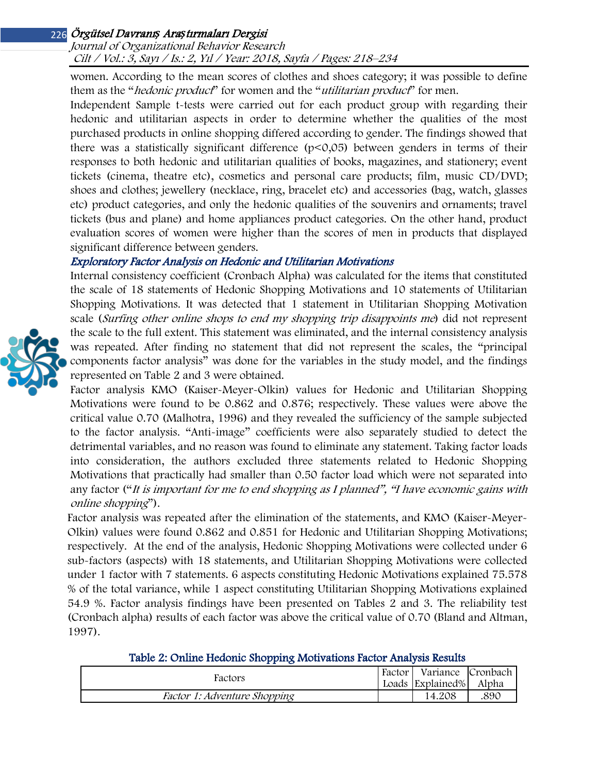Journal of Organizational Behavior Research Cilt / Vol.: 3, Sayı / Is.: 2, Yıl / Year: 2018, Sayfa / Pages: 218–234

women. According to the mean scores of clothes and shoes category; it was possible to define them as the "*hedonic product*" for women and the "*utilitarian product*" for men.

Independent Sample t-tests were carried out for each product group with regarding their hedonic and utilitarian aspects in order to determine whether the qualities of the most purchased products in online shopping differed according to gender. The findings showed that there was a statistically significant difference  $(p<0,05)$  between genders in terms of their responses to both hedonic and utilitarian qualities of books, magazines, and stationery; event tickets (cinema, theatre etc), cosmetics and personal care products; film, music CD/DVD; shoes and clothes; jewellery (necklace, ring, bracelet etc) and accessories (bag, watch, glasses etc) product categories, and only the hedonic qualities of the souvenirs and ornaments; travel tickets (bus and plane) and home appliances product categories. On the other hand, product evaluation scores of women were higher than the scores of men in products that displayed significant difference between genders.

#### Exploratory Factor Analysis on Hedonic and Utilitarian Motivations

Internal consistency coefficient (Cronbach Alpha) was calculated for the items that constituted the scale of 18 statements of Hedonic Shopping Motivations and 10 statements of Utilitarian Shopping Motivations. It was detected that 1 statement in Utilitarian Shopping Motivation scale (Surfing other online shops to end my shopping trip disappoints me) did not represent the scale to the full extent. This statement was eliminated, and the internal consistency analysis was repeated. After finding no statement that did not represent the scales, the "principal components factor analysis" was done for the variables in the study model, and the findings represented on Table 2 and 3 were obtained.

Factor analysis KMO (Kaiser-Meyer-Olkin) values for Hedonic and Utilitarian Shopping Motivations were found to be 0.862 and 0.876; respectively. These values were above the critical value 0.70 (Malhotra, 1996) and they revealed the sufficiency of the sample subjected to the factor analysis. "Anti-image" coefficients were also separately studied to detect the detrimental variables, and no reason was found to eliminate any statement. Taking factor loads into consideration, the authors excluded three statements related to Hedonic Shopping Motivations that practically had smaller than 0.50 factor load which were not separated into any factor ("It is important for me to end shopping as I planned", "I have economic gains with online shopping").

Factor analysis was repeated after the elimination of the statements, and KMO (Kaiser-Meyer-Olkin) values were found 0.862 and 0.851 for Hedonic and Utilitarian Shopping Motivations; respectively. At the end of the analysis, Hedonic Shopping Motivations were collected under 6 sub-factors (aspects) with 18 statements, and Utilitarian Shopping Motivations were collected under 1 factor with 7 statements. 6 aspects constituting Hedonic Motivations explained 75.578 % of the total variance, while 1 aspect constituting Utilitarian Shopping Motivations explained 54.9 %. Factor analysis findings have been presented on Tables 2 and 3. The reliability test (Cronbach alpha) results of each factor was above the critical value of 0.70 (Bland and Altman, 1997).

| Table 2: Online Hedonic Shopping Motivations Factor Analysis Results |  |
|----------------------------------------------------------------------|--|
|----------------------------------------------------------------------|--|

| Factors                             | Factor | Variance Cronbach |       |  |
|-------------------------------------|--------|-------------------|-------|--|
|                                     |        | Loads Explained%  | Alpha |  |
| <i>Factor 1: Adventure Shopping</i> |        | 14.208            | .890  |  |

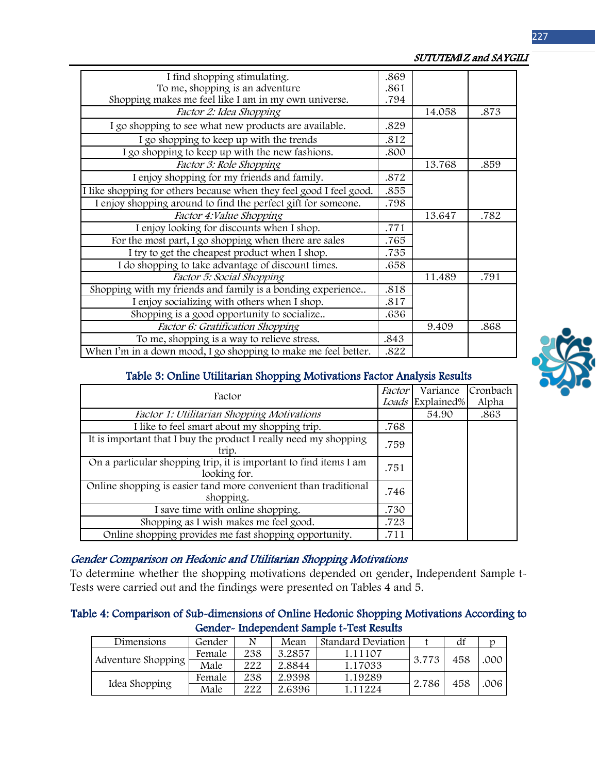| I find shopping stimulating.                                        | .869 |        |      |
|---------------------------------------------------------------------|------|--------|------|
| To me, shopping is an adventure                                     | .861 |        |      |
| Shopping makes me feel like I am in my own universe.                | .794 |        |      |
| Factor 2: Idea Shopping                                             |      | 14.058 | .873 |
| I go shopping to see what new products are available.               | .829 |        |      |
| I go shopping to keep up with the trends                            | .812 |        |      |
| I go shopping to keep up with the new fashions.                     | .800 |        |      |
| Factor 3: Role Shopping                                             |      | 13.768 | .859 |
| I enjoy shopping for my friends and family.                         | .872 |        |      |
| I like shopping for others because when they feel good I feel good. | .855 |        |      |
| I enjoy shopping around to find the perfect gift for someone.       | .798 |        |      |
| Factor 4: Value Shopping                                            |      | 13.647 | .782 |
| I enjoy looking for discounts when I shop.                          | .771 |        |      |
| For the most part, I go shopping when there are sales               | .765 |        |      |
| I try to get the cheapest product when I shop.                      | .735 |        |      |
| I do shopping to take advantage of discount times.                  | .658 |        |      |
| Factor 5: Social Shopping                                           |      | 11.489 | .791 |
| Shopping with my friends and family is a bonding experience         | .818 |        |      |
| I enjoy socializing with others when I shop.                        | .817 |        |      |
| Shopping is a good opportunity to socialize                         | .636 |        |      |
| Factor 6: Gratification Shopping                                    |      | 9.409  | .868 |
| To me, shopping is a way to relieve stress.                         | .843 |        |      |
| When I'm in a down mood, I go shopping to make me feel better.      | .822 |        |      |

#### SUTUTEM*I*Z and SAYGILI



#### Table 3: Online Utilitarian Shopping Motivations Factor Analysis Results

| Factor                                                                            | Factor | Variance         | Cronbach |
|-----------------------------------------------------------------------------------|--------|------------------|----------|
|                                                                                   |        | Loads Explained% | Alpha    |
| Factor 1: Utilitarian Shopping Motivations                                        |        | 54.90            | .863     |
| I like to feel smart about my shopping trip.                                      | .768   |                  |          |
| It is important that I buy the product I really need my shopping<br>trip.         | .759   |                  |          |
| On a particular shopping trip, it is important to find items I am<br>looking for. | .751   |                  |          |
| Online shopping is easier tand more convenient than traditional<br>shopping.      | .746   |                  |          |
| I save time with online shopping.                                                 | .730   |                  |          |
| Shopping as I wish makes me feel good.                                            | .723   |                  |          |
| Online shopping provides me fast shopping opportunity.                            | .711   |                  |          |

#### Gender Comparison on Hedonic and Utilitarian Shopping Motivations

To determine whether the shopping motivations depended on gender, Independent Sample t-Tests were carried out and the findings were presented on Tables 4 and 5.

### Table 4: Comparison of Sub-dimensions of Online Hedonic Shopping Motivations According to Gender- Independent Sample t-Test Results

| Dimensions         | Gender | N   | Mean   | <b>Standard Deviation</b> |       | df  |      |
|--------------------|--------|-----|--------|---------------------------|-------|-----|------|
| Adventure Shopping | Female | 238 | 3.2857 | 1.11107                   | 3.773 | 458 | .000 |
|                    | Male   | 222 | 2.8844 | 1.17033                   |       |     |      |
| Idea Shopping      | Female | 238 | 2.9398 | 1.19289                   | 2.786 | 458 | .006 |
|                    | Male   | 222 | 2.6396 | 1.11224                   |       |     |      |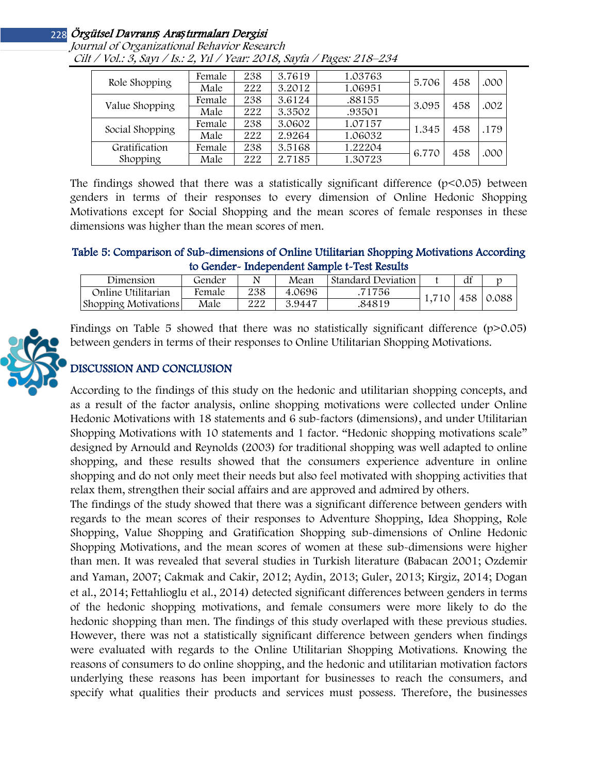| Role Shopping   | Female | 238 | 3.7619 | 1.03763 | 5.706 | 458 | .000 |
|-----------------|--------|-----|--------|---------|-------|-----|------|
|                 | Male   | 222 | 3.2012 | 1.06951 |       |     |      |
| Value Shopping  | Female | 238 | 3.6124 | .88155  | 3.095 | 458 | .002 |
|                 | Male   | 222 | 3.3502 | .93501  |       |     |      |
| Social Shopping | Female | 238 | 3.0602 | 1.07157 | 1.345 | 458 | .179 |
|                 | Male   | 222 | 2.9264 | 1.06032 |       |     |      |
| Gratification   | Female | 238 | 3.5168 | 1.22204 | 6.770 | 458 | .000 |
| Shopping        | Male   | 222 | 2.7185 | 1.30723 |       |     |      |

Journal of Organizational Behavior Research Cilt / Vol.: 3, Sayı / Is.: 2, Yıl / Year: 2018, Sayfa / Pages: 218–234

The findings showed that there was a statistically significant difference  $(p<0.05)$  between genders in terms of their responses to every dimension of Online Hedonic Shopping Motivations except for Social Shopping and the mean scores of female responses in these dimensions was higher than the mean scores of men.

#### Table 5: Comparison of Sub-dimensions of Online Utilitarian Shopping Motivations According to Gender- Independent Sample t-Test Results

| Dimension                   | Gender |     | Mean   | Standard Deviation |       | df |           |
|-----------------------------|--------|-----|--------|--------------------|-------|----|-----------|
| Online Utilitarian          | female | 238 | 4.0696 | 71756              | 1.710 |    | 458 0.088 |
| <b>Shopping Motivations</b> | Male   | 222 | 3.9447 | .84819             |       |    |           |



## DISCUSSION AND CONCLUSION

According to the findings of this study on the hedonic and utilitarian shopping concepts, and as a result of the factor analysis, online shopping motivations were collected under Online Hedonic Motivations with 18 statements and 6 sub-factors (dimensions), and under Utilitarian Shopping Motivations with 10 statements and 1 factor. "Hedonic shopping motivations scale" designed by Arnould and Reynolds (2003) for traditional shopping was well adapted to online shopping, and these results showed that the consumers experience adventure in online shopping and do not only meet their needs but also feel motivated with shopping activities that relax them, strengthen their social affairs and are approved and admired by others.

The findings of the study showed that there was a significant difference between genders with regards to the mean scores of their responses to Adventure Shopping, Idea Shopping, Role Shopping, Value Shopping and Gratification Shopping sub-dimensions of Online Hedonic Shopping Motivations, and the mean scores of women at these sub-dimensions were higher than men. It was revealed that several studies in Turkish literature (Babacan 2001; Ozdemir and Yaman, 2007; Cakmak and Cakir, 2012; Aydin, 2013; Guler, 2013; Kirgiz, 2014; Dogan et al., 2014; Fettahlioglu et al., 2014) detected significant differences between genders in terms of the hedonic shopping motivations, and female consumers were more likely to do the hedonic shopping than men. The findings of this study overlaped with these previous studies. However, there was not a statistically significant difference between genders when findings were evaluated with regards to the Online Utilitarian Shopping Motivations. Knowing the reasons of consumers to do online shopping, and the hedonic and utilitarian motivation factors underlying these reasons has been important for businesses to reach the consumers, and specify what qualities their products and services must possess. Therefore, the businesses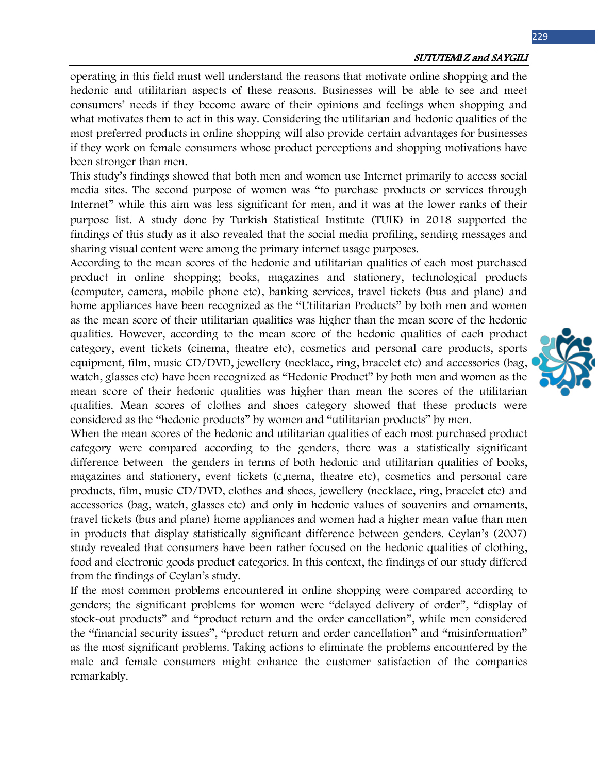operating in this field must well understand the reasons that motivate online shopping and the hedonic and utilitarian aspects of these reasons. Businesses will be able to see and meet consumers' needs if they become aware of their opinions and feelings when shopping and what motivates them to act in this way. Considering the utilitarian and hedonic qualities of the most preferred products in online shopping will also provide certain advantages for businesses if they work on female consumers whose product perceptions and shopping motivations have been stronger than men.

This study's findings showed that both men and women use Internet primarily to access social media sites. The second purpose of women was "to purchase products or services through Internet" while this aim was less significant for men, and it was at the lower ranks of their purpose list. A study done by Turkish Statistical Institute (TUIK) in 2018 supported the findings of this study as it also revealed that the social media profiling, sending messages and sharing visual content were among the primary internet usage purposes.

According to the mean scores of the hedonic and utilitarian qualities of each most purchased product in online shopping; books, magazines and stationery, technological products (computer, camera, mobile phone etc), banking services, travel tickets (bus and plane) and home appliances have been recognized as the "Utilitarian Products" by both men and women as the mean score of their utilitarian qualities was higher than the mean score of the hedonic qualities. However, according to the mean score of the hedonic qualities of each product category, event tickets (cinema, theatre etc), cosmetics and personal care products, sports equipment, film, music CD/DVD, jewellery (necklace, ring, bracelet etc) and accessories (bag, watch, glasses etc) have been recognized as "Hedonic Product" by both men and women as the mean score of their hedonic qualities was higher than mean the scores of the utilitarian qualities. Mean scores of clothes and shoes category showed that these products were considered as the "hedonic products" by women and "utilitarian products" by men.

When the mean scores of the hedonic and utilitarian qualities of each most purchased product category were compared according to the genders, there was a statistically significant difference between the genders in terms of both hedonic and utilitarian qualities of books, magazines and stationery, event tickets (c,nema, theatre etc), cosmetics and personal care products, film, music CD/DVD, clothes and shoes, jewellery (necklace, ring, bracelet etc) and accessories (bag, watch, glasses etc) and only in hedonic values of souvenirs and ornaments, travel tickets (bus and plane) home appliances and women had a higher mean value than men in products that display statistically significant difference between genders. Ceylan's (2007) study revealed that consumers have been rather focused on the hedonic qualities of clothing, food and electronic goods product categories. In this context, the findings of our study differed from the findings of Ceylan's study.

If the most common problems encountered in online shopping were compared according to genders; the significant problems for women were "delayed delivery of order", "display of stock-out products" and "product return and the order cancellation", while men considered the "financial security issues", "product return and order cancellation" and "misinformation" as the most significant problems. Taking actions to eliminate the problems encountered by the male and female consumers might enhance the customer satisfaction of the companies remarkably.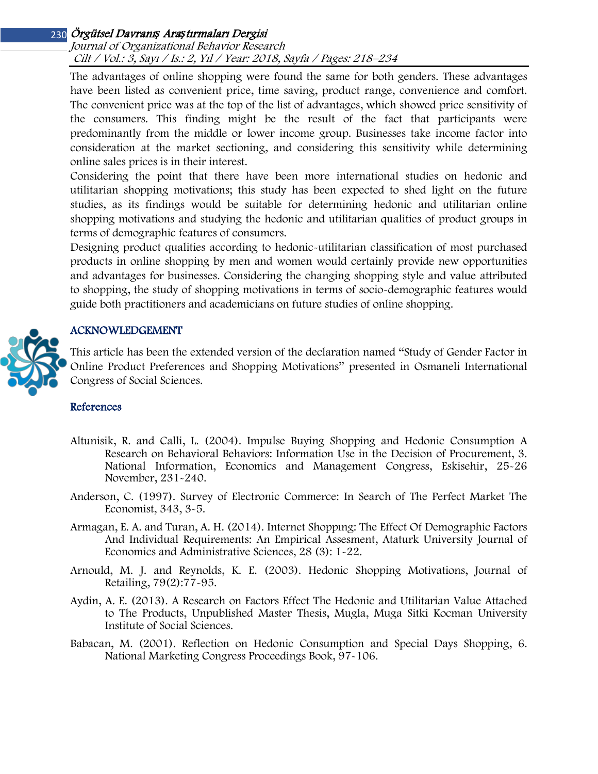Journal of Organizational Behavior Research Cilt / Vol.: 3, Sayı / Is.: 2, Yıl / Year: 2018, Sayfa / Pages: 218–234

The advantages of online shopping were found the same for both genders. These advantages have been listed as convenient price, time saving, product range, convenience and comfort. The convenient price was at the top of the list of advantages, which showed price sensitivity of the consumers. This finding might be the result of the fact that participants were predominantly from the middle or lower income group. Businesses take income factor into consideration at the market sectioning, and considering this sensitivity while determining online sales prices is in their interest.

Considering the point that there have been more international studies on hedonic and utilitarian shopping motivations; this study has been expected to shed light on the future studies, as its findings would be suitable for determining hedonic and utilitarian online shopping motivations and studying the hedonic and utilitarian qualities of product groups in terms of demographic features of consumers.

Designing product qualities according to hedonic-utilitarian classification of most purchased products in online shopping by men and women would certainly provide new opportunities and advantages for businesses. Considering the changing shopping style and value attributed to shopping, the study of shopping motivations in terms of socio-demographic features would guide both practitioners and academicians on future studies of online shopping.

### ACKNOWLEDGEMENT

This article has been the extended version of the declaration named "Study of Gender Factor in Online Product Preferences and Shopping Motivations" presented in Osmaneli International Congress of Social Sciences.

#### References

- Altunisik, R. and Calli, L. (2004). Impulse Buying Shopping and Hedonic Consumption A Research on Behavioral Behaviors: Information Use in the Decision of Procurement, 3. National Information, Economics and Management Congress, Eskisehir, 25-26 November, 231-240.
- Anderson, C. (1997). Survey of Electronic Commerce: In Search of The Perfect Market The Economist, 343, 3-5.
- Armagan, E. A. and Turan, A. H. (2014). Internet Shoppıng: The Effect Of Demographic Factors And Individual Requirements: An Empirical Assesment, Ataturk University Journal of Economics and Administrative Sciences, 28 (3): 1-22.
- Arnould, M. J. and Reynolds, K. E. (2003). Hedonic Shopping Motivations, Journal of Retailing, 79(2):77-95.
- Aydin, A. E. (2013). A Research on Factors Effect The Hedonic and Utilitarian Value Attached to The Products, Unpublished Master Thesis, Mugla, Muga Sitki Kocman University Institute of Social Sciences.
- Babacan, M. (2001). Reflection on Hedonic Consumption and Special Days Shopping, 6. National Marketing Congress Proceedings Book, 97-106.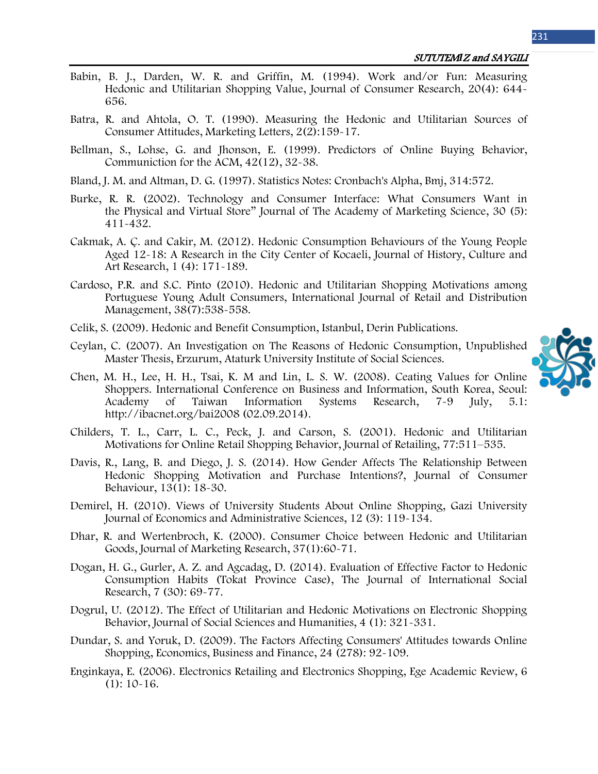231

- Babin, B. J., Darden, W. R. and Griffin, M. (1994). Work and/or Fun: Measuring Hedonic and Utilitarian Shopping Value, Journal of Consumer Research, 20(4): 644- 656.
- Batra, R. and Ahtola, O. T. (1990). Measuring the Hedonic and Utilitarian Sources of Consumer Attitudes, Marketing Letters, 2(2):159-17.
- Bellman, S., Lohse, G. and Jhonson, E. (1999). Predictors of Online Buying Behavior, Communiction for the ACM, 42(12), 32-38.
- Bland, J. M. and Altman, D. G. (1997). Statistics Notes: Cronbach's Alpha, Bmj, 314:572.
- Burke, R. R. (2002). Technology and Consumer Interface: What Consumers Want in the Physical and Virtual Store" Journal of The Academy of Marketing Science, 30 (5): 411-432.
- Cakmak, A. Ç. and Cakir, M. (2012). Hedonic Consumption Behaviours of the Young People Aged 12-18: A Research in the City Center of Kocaeli, Journal of History, Culture and Art Research, 1 (4): 171-189.
- Cardoso, P.R. and S.C. Pinto (2010). Hedonic and Utilitarian Shopping Motivations among Portuguese Young Adult Consumers, International Journal of Retail and Distribution Management, 38(7):538-558.
- Celik, S. (2009). Hedonic and Benefit Consumption, Istanbul, Derin Publications.
- Ceylan, C. (2007). An Investigation on The Reasons of Hedonic Consumption, Unpublished Master Thesis, Erzurum, Ataturk University Institute of Social Sciences.
- Chen, M. H., Lee, H. H., Tsai, K. M and Lin, L. S. W. (2008). Ceating Values for Online Shoppers. International Conference on Business and Information, South Korea, Seoul: Academy of Taiwan Information Systems Research, 7-9 July, 5.1: http://ibacnet.org/bai2008 (02.09.2014).
- Childers, T. L., Carr, L. C., Peck, J. and Carson, S. (2001). Hedonic and Utilitarian Motivations for Online Retail Shopping Behavior, Journal of Retailing, 77:511–535.
- Davis, R., Lang, B. and Diego, J. S. (2014). How Gender Affects The Relationship Between Hedonic Shopping Motivation and Purchase Intentions?, Journal of Consumer Behaviour, 13(1): 18-30.
- Demirel, H. (2010). Views of University Students About Online Shopping, Gazi University Journal of Economics and Administrative Sciences, 12 (3): 119-134.
- Dhar, R. and Wertenbroch, K. (2000). Consumer Choice between Hedonic and Utilitarian Goods, Journal of Marketing Research, 37(1):60-71.
- Dogan, H. G., Gurler, A. Z. and Agcadag, D. (2014). Evaluation of Effective Factor to Hedonic Consumption Habits (Tokat Province Case), The Journal of International Social Research, 7 (30): 69-77.
- Dogrul, U. (2012). The Effect of Utilitarian and Hedonic Motivations on Electronic Shopping Behavior, Journal of Social Sciences and Humanities, 4 (1): 321-331.
- Dundar, S. and Yoruk, D. (2009). The Factors Affecting Consumers' Attitudes towards Online Shopping, Economics, Business and Finance, 24 (278): 92-109.
- Enginkaya, E. (2006). Electronics Retailing and Electronics Shopping, Ege Academic Review, 6  $(1): 10-16.$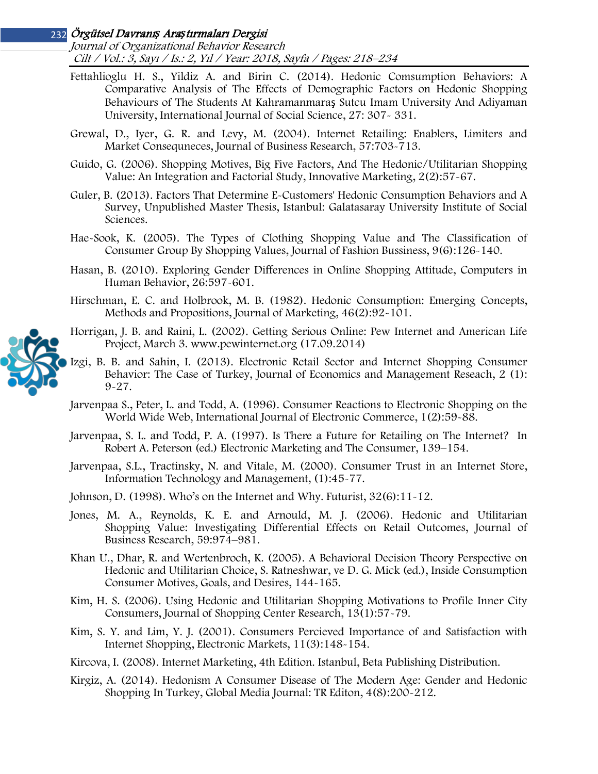Journal of Organizational Behavior Research Cilt / Vol.: 3, Sayı / Is.: 2, Yıl / Year: 2018, Sayfa / Pages: 218–234

- Fettahlioglu H. S., Yildiz A. and Birin C. (2014). Hedonic Comsumption Behaviors: A Comparative Analysis of The Effects of Demographic Factors on Hedonic Shopping Behaviours of The Students At Kahramanmaraş Sutcu Imam University And Adiyaman University, International Journal of Social Science, 27: 307- 331.
- Grewal, D., Iyer, G. R. and Levy, M. (2004). Internet Retailing: Enablers, Limiters and Market Consequneces, Journal of Business Research, 57:703-713.
- Guido, G. (2006). Shopping Motives, Big Five Factors, And The Hedonic/Utilitarian Shopping Value: An Integration and Factorial Study, Innovative Marketing, 2(2):57-67.
- Guler, B. (2013). Factors That Determine E-Customers' Hedonic Consumption Behaviors and A Survey, Unpublished Master Thesis, Istanbul: Galatasaray University Institute of Social Sciences.
- Hae-Sook, K. (2005). The Types of Clothing Shopping Value and The Classification of Consumer Group By Shopping Values, Journal of Fashion Bussiness, 9(6):126-140.
- Hasan, B. (2010). Exploring Gender Differences in Online Shopping Attitude, Computers in Human Behavior, 26:597-601.
- Hirschman, E. C. and Holbrook, M. B. (1982). Hedonic Consumption: Emerging Concepts, Methods and Propositions, Journal of Marketing, 46(2):92-101.
- Horrigan, J. B. and Raini, L. (2002). Getting Serious Online: Pew Internet and American Life Project, March 3. www.pewinternet.org (17.09.2014)
- Izgi, B. B. and Sahin, I. (2013). Electronic Retail Sector and Internet Shopping Consumer Behavior: The Case of Turkey, Journal of Economics and Management Reseach, 2 (1): 9-27.
- Jarvenpaa S., Peter, L. and Todd, A. (1996). Consumer Reactions to Electronic Shopping on the World Wide Web, International Journal of Electronic Commerce, 1(2):59-88.
- Jarvenpaa, S. L. and Todd, P. A. (1997). Is There a Future for Retailing on The Internet? In Robert A. Peterson (ed.) Electronic Marketing and The Consumer, 139–154.
- Jarvenpaa, S.L., Tractinsky, N. and Vitale, M. (2000). Consumer Trust in an Internet Store, Information Technology and Management, (1):45-77.

Johnson, D. (1998). Who's on the Internet and Why. Futurist, 32(6):11-12.

- Jones, M. A., Reynolds, K. E. and Arnould, M. J. (2006). Hedonic and Utilitarian Shopping Value: Investigating Differential Effects on Retail Outcomes, Journal of Business Research, 59:974–981.
- Khan U., Dhar, R. and Wertenbroch, K. (2005). A Behavioral Decision Theory Perspective on Hedonic and Utilitarian Choice, S. Ratneshwar, ve D. G. Mick (ed.), Inside Consumption Consumer Motives, Goals, and Desires, 144-165.
- Kim, H. S. (2006). Using Hedonic and Utilitarian Shopping Motivations to Profile Inner City Consumers, Journal of Shopping Center Research, 13(1):57-79.
- Kim, S. Y. and Lim, Y. J. (2001). Consumers Percieved Importance of and Satisfaction with Internet Shopping, Electronic Markets, 11(3):148-154.
- Kircova, I. (2008). Internet Marketing, 4th Edition. Istanbul, Beta Publishing Distribution.
- Kirgiz, A. (2014). Hedonism A Consumer Disease of The Modern Age: Gender and Hedonic Shopping In Turkey, Global Media Journal: TR Editon, 4(8):200-212.

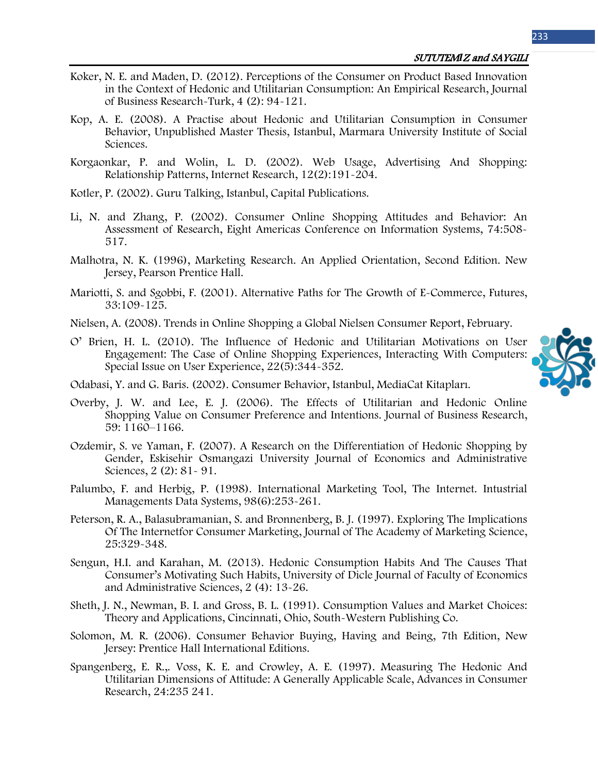- Koker, N. E. and Maden, D. (2012). Perceptions of the Consumer on Product Based Innovation in the Context of Hedonic and Utilitarian Consumption: An Empirical Research, Journal of Business Research-Turk, 4 (2): 94-121.
- Kop, A. E. (2008). A Practise about Hedonic and Utilitarian Consumption in Consumer Behavior, Unpublished Master Thesis, Istanbul, Marmara University Institute of Social Sciences.
- Korgaonkar, P. and Wolin, L. D. (2002). Web Usage, Advertising And Shopping: Relationship Patterns, Internet Research, 12(2):191-204.
- Kotler, P. (2002). Guru Talking, Istanbul, Capital Publications.
- Li, N. and Zhang, P. (2002). Consumer Online Shopping Attitudes and Behavior: An Assessment of Research, Eight Americas Conference on Information Systems, 74:508- 517.
- Malhotra, N. K. (1996), Marketing Research. An Applied Orientation, Second Edition. New Jersey, Pearson Prentice Hall.
- Mariotti, S. and Sgobbi, F. (2001). Alternative Paths for The Growth of E-Commerce, Futures, 33:109-125.
- Nielsen, A. (2008). Trends in Online Shopping a Global Nielsen Consumer Report, February.
- O' Brien, H. L. (2010). The Influence of Hedonic and Utilitarian Motivations on User Engagement: The Case of Online Shopping Experiences, Interacting With Computers: Special Issue on User Experience, 22(5):344-352.



- Odabasi, Y. and G. Baris. (2002). Consumer Behavior, Istanbul, MediaCat Kitapları.
- Overby, J. W. and Lee, E. J. (2006). The Effects of Utilitarian and Hedonic Online Shopping Value on Consumer Preference and Intentions. Journal of Business Research, 59: 1160–1166.
- Ozdemir, S. ve Yaman, F. (2007). A Research on the Differentiation of Hedonic Shopping by Gender, Eskisehir Osmangazi University Journal of Economics and Administrative Sciences, 2 (2): 81- 91.
- Palumbo, F. and Herbig, P. (1998). International Marketing Tool, The Internet. Intustrial Managements Data Systems, 98(6):253-261.
- Peterson, R. A., Balasubramanian, S. and Bronnenberg, B. J. (1997). Exploring The Implications Of The Internetfor Consumer Marketing, Journal of The Academy of Marketing Science, 25:329-348.
- Sengun, H.I. and Karahan, M. (2013). Hedonic Consumption Habits And The Causes That Consumer's Motivating Such Habits, University of Dicle Journal of Faculty of Economics and Administrative Sciences, 2 (4): 13-26.
- Sheth, J. N., Newman, B. I. and Gross, B. L. (1991). Consumption Values and Market Choices: Theory and Applications, Cincinnati, Ohio, South-Western Publishing Co.
- Solomon, M. R. (2006). Consumer Behavior Buying, Having and Being, 7th Edition, New Jersey: Prentice Hall International Editions.
- Spangenberg, E. R.,. Voss, K. E. and Crowley, A. E. (1997). Measuring The Hedonic And Utilitarian Dimensions of Attitude: A Generally Applicable Scale, Advances in Consumer Research, 24:235 241.